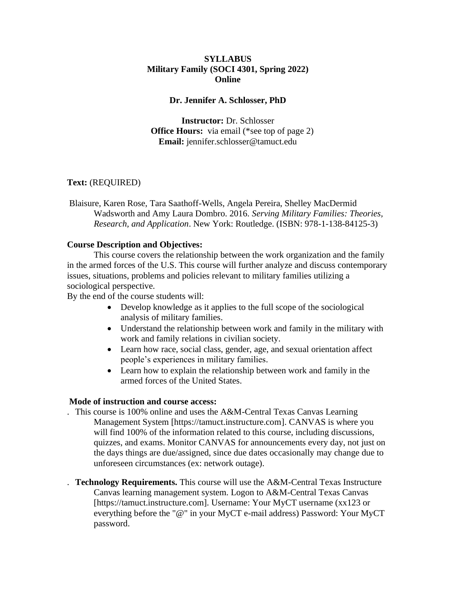## **SYLLABUS Military Family (SOCI 4301, Spring 2022) Online**

#### **Dr. Jennifer A. Schlosser, PhD**

**Instructor:** Dr. Schlosser **Office Hours:** via email (\*see top of page 2) **Email:** jennifer.schlosser@tamuct.edu

## **Text:** (REQUIRED)

Blaisure, Karen Rose, Tara Saathoff-Wells, Angela Pereira, Shelley MacDermid Wadsworth and Amy Laura Dombro. 2016. *Serving Military Families: Theories, Research, and Application*. New York: Routledge. (ISBN: 978-1-138-84125-3)

#### **Course Description and Objectives:**

This course covers the relationship between the work organization and the family in the armed forces of the U.S. This course will further analyze and discuss contemporary issues, situations, problems and policies relevant to military families utilizing a sociological perspective.

By the end of the course students will:

- Develop knowledge as it applies to the full scope of the sociological analysis of military families.
- Understand the relationship between work and family in the military with work and family relations in civilian society.
- Learn how race, social class, gender, age, and sexual orientation affect people's experiences in military families.
- Learn how to explain the relationship between work and family in the armed forces of the United States.

### **Mode of instruction and course access:**

- . This course is 100% online and uses the A&M-Central Texas Canvas Learning Management System [https://tamuct.instructure.com]. CANVAS is where you will find 100% of the information related to this course, including discussions, quizzes, and exams. Monitor CANVAS for announcements every day, not just on the days things are due/assigned, since due dates occasionally may change due to unforeseen circumstances (ex: network outage).
- . **Technology Requirements.** This course will use the A&M-Central Texas Instructure Canvas learning management system. Logon to A&M-Central Texas Canvas [https://tamuct.instructure.com]. Username: Your MyCT username (xx123 or everything before the "@" in your MyCT e-mail address) Password: Your MyCT password.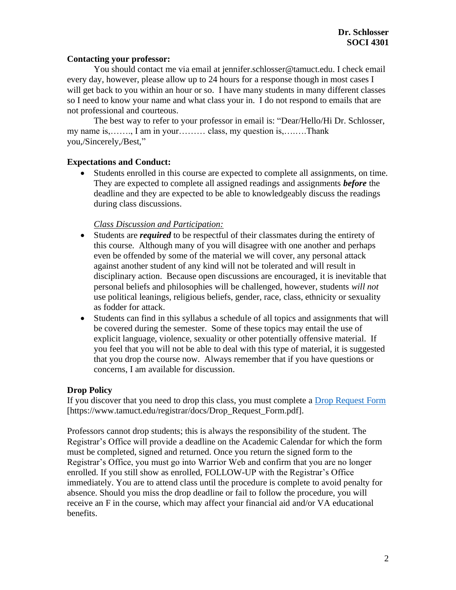### **Contacting your professor:**

You should contact me via email at jennifer.schlosser@tamuct.edu. I check email every day, however, please allow up to 24 hours for a response though in most cases I will get back to you within an hour or so. I have many students in many different classes so I need to know your name and what class your in. I do not respond to emails that are not professional and courteous.

The best way to refer to your professor in email is: "Dear/Hello/Hi Dr. Schlosser, my name is,……., I am in your……… class, my question is,….….Thank you,/Sincerely,/Best,"

## **Expectations and Conduct:**

• Students enrolled in this course are expected to complete all assignments, on time. They are expected to complete all assigned readings and assignments *before* the deadline and they are expected to be able to knowledgeably discuss the readings during class discussions.

### *Class Discussion and Participation:*

- Students are *required* to be respectful of their classmates during the entirety of this course. Although many of you will disagree with one another and perhaps even be offended by some of the material we will cover, any personal attack against another student of any kind will not be tolerated and will result in disciplinary action. Because open discussions are encouraged, it is inevitable that personal beliefs and philosophies will be challenged, however, students *will not* use political leanings, religious beliefs, gender, race, class, ethnicity or sexuality as fodder for attack.
- Students can find in this syllabus a schedule of all topics and assignments that will be covered during the semester. Some of these topics may entail the use of explicit language, violence, sexuality or other potentially offensive material. If you feel that you will not be able to deal with this type of material, it is suggested that you drop the course now. Always remember that if you have questions or concerns, I am available for discussion.

### **Drop Policy**

If you discover that you need to drop this class, you must complete a [Drop Request Form](https://www.tamuct.edu/registrar/docs/Drop_Request_Form.pdf) [https://www.tamuct.edu/registrar/docs/Drop\_Request\_Form.pdf].

Professors cannot drop students; this is always the responsibility of the student. The Registrar's Office will provide a deadline on the Academic Calendar for which the form must be completed, signed and returned. Once you return the signed form to the Registrar's Office, you must go into Warrior Web and confirm that you are no longer enrolled. If you still show as enrolled, FOLLOW-UP with the Registrar's Office immediately. You are to attend class until the procedure is complete to avoid penalty for absence. Should you miss the drop deadline or fail to follow the procedure, you will receive an F in the course, which may affect your financial aid and/or VA educational benefits.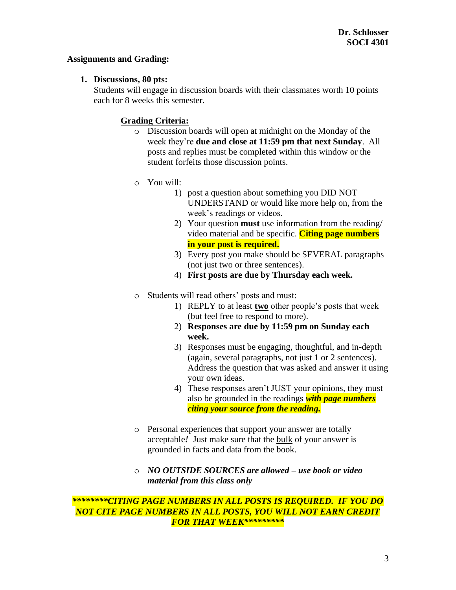### **Assignments and Grading:**

### **1. Discussions, 80 pts:**

Students will engage in discussion boards with their classmates worth 10 points each for 8 weeks this semester.

## **Grading Criteria:**

- o Discussion boards will open at midnight on the Monday of the week they're **due and close at 11:59 pm that next Sunday**. All posts and replies must be completed within this window or the student forfeits those discussion points.
- o You will:
	- 1) post a question about something you DID NOT UNDERSTAND or would like more help on, from the week's readings or videos.
	- 2) Your question **must** use information from the reading/ video material and be specific. **Citing page numbers in your post is required.**
	- 3) Every post you make should be SEVERAL paragraphs (not just two or three sentences).
	- 4) **First posts are due by Thursday each week.**
- o Students will read others' posts and must:
	- 1) REPLY to at least **two** other people's posts that week (but feel free to respond to more).
	- 2) **Responses are due by 11:59 pm on Sunday each week.**
	- 3) Responses must be engaging, thoughtful, and in-depth (again, several paragraphs, not just 1 or 2 sentences). Address the question that was asked and answer it using your own ideas.
	- 4) These responses aren't JUST your opinions, they must also be grounded in the readings *with page numbers citing your source from the reading.*
- o Personal experiences that support your answer are totally acceptable*!* Just make sure that the bulk of your answer is grounded in facts and data from the book.
- o *NO OUTSIDE SOURCES are allowed – use book or video material from this class only*

## *\*\*\*\*\*\*\*\*CITING PAGE NUMBERS IN ALL POSTS IS REQUIRED. IF YOU DO NOT CITE PAGE NUMBERS IN ALL POSTS, YOU WILL NOT EARN CREDIT FOR THAT WEEK\*\*\*\*\*\*\*\*\**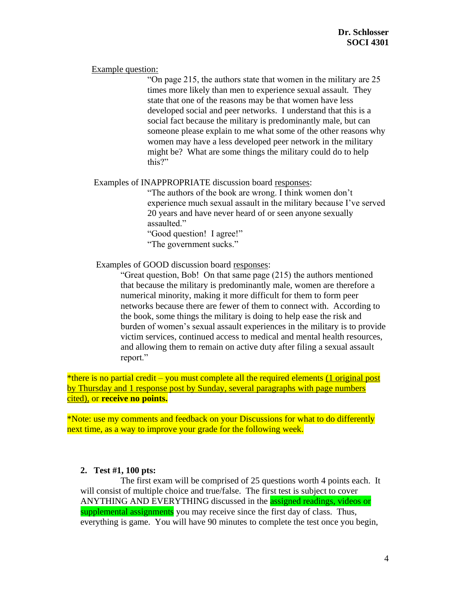#### Example question:

"On page 215, the authors state that women in the military are 25 times more likely than men to experience sexual assault. They state that one of the reasons may be that women have less developed social and peer networks. I understand that this is a social fact because the military is predominantly male, but can someone please explain to me what some of the other reasons why women may have a less developed peer network in the military might be? What are some things the military could do to help this?"

### Examples of INAPPROPRIATE discussion board responses:

"The authors of the book are wrong. I think women don't experience much sexual assault in the military because I've served 20 years and have never heard of or seen anyone sexually assaulted."

"Good question! I agree!" "The government sucks."

Examples of GOOD discussion board responses:

"Great question, Bob! On that same page (215) the authors mentioned that because the military is predominantly male, women are therefore a numerical minority, making it more difficult for them to form peer networks because there are fewer of them to connect with. According to the book, some things the military is doing to help ease the risk and burden of women's sexual assault experiences in the military is to provide victim services, continued access to medical and mental health resources, and allowing them to remain on active duty after filing a sexual assault report."

\*there is no partial credit – you must complete all the required elements (1 original post by Thursday and 1 response post by Sunday, several paragraphs with page numbers cited), or **receive no points.**

\*Note: use my comments and feedback on your Discussions for what to do differently next time, as a way to improve your grade for the following week.

### **2. Test #1, 100 pts:**

The first exam will be comprised of 25 questions worth 4 points each. It will consist of multiple choice and true/false. The first test is subject to cover ANYTHING AND EVERYTHING discussed in the assigned readings, videos or supplemental assignments you may receive since the first day of class. Thus, everything is game. You will have 90 minutes to complete the test once you begin,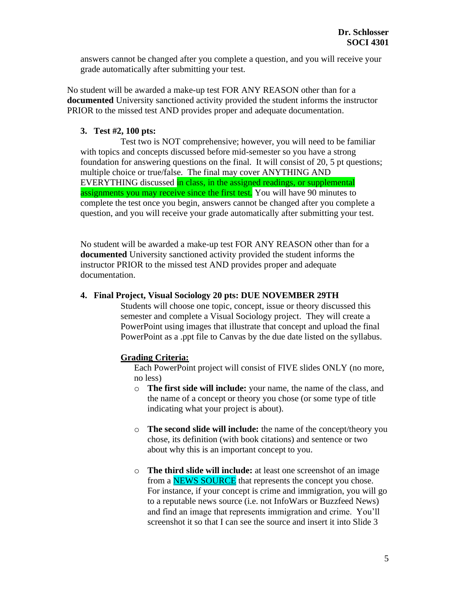answers cannot be changed after you complete a question, and you will receive your grade automatically after submitting your test.

No student will be awarded a make-up test FOR ANY REASON other than for a **documented** University sanctioned activity provided the student informs the instructor PRIOR to the missed test AND provides proper and adequate documentation.

## **3. Test #2, 100 pts:**

Test two is NOT comprehensive; however, you will need to be familiar with topics and concepts discussed before mid-semester so you have a strong foundation for answering questions on the final. It will consist of 20, 5 pt questions; multiple choice or true/false. The final may cover ANYTHING AND EVERYTHING discussed in class, in the assigned readings, or supplemental assignments you may receive since the first test. You will have 90 minutes to complete the test once you begin, answers cannot be changed after you complete a question, and you will receive your grade automatically after submitting your test.

No student will be awarded a make-up test FOR ANY REASON other than for a **documented** University sanctioned activity provided the student informs the instructor PRIOR to the missed test AND provides proper and adequate documentation.

### **4. Final Project, Visual Sociology 20 pts: DUE NOVEMBER 29TH**

Students will choose one topic, concept, issue or theory discussed this semester and complete a Visual Sociology project. They will create a PowerPoint using images that illustrate that concept and upload the final PowerPoint as a .ppt file to Canvas by the due date listed on the syllabus.

### **Grading Criteria:**

Each PowerPoint project will consist of FIVE slides ONLY (no more, no less)

- o **The first side will include:** your name, the name of the class, and the name of a concept or theory you chose (or some type of title indicating what your project is about).
- o **The second slide will include:** the name of the concept/theory you chose, its definition (with book citations) and sentence or two about why this is an important concept to you.
- o **The third slide will include:** at least one screenshot of an image from a **NEWS SOURCE** that represents the concept you chose. For instance, if your concept is crime and immigration, you will go to a reputable news source (i.e. not InfoWars or Buzzfeed News) and find an image that represents immigration and crime. You'll screenshot it so that I can see the source and insert it into Slide 3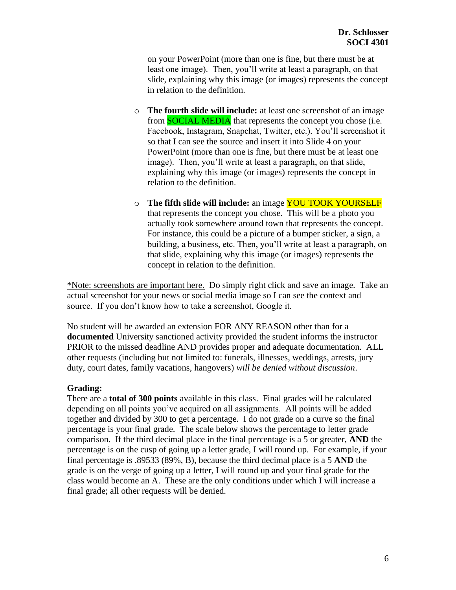on your PowerPoint (more than one is fine, but there must be at least one image). Then, you'll write at least a paragraph, on that slide, explaining why this image (or images) represents the concept in relation to the definition.

- o **The fourth slide will include:** at least one screenshot of an image from **SOCIAL MEDIA** that represents the concept you chose (i.e. Facebook, Instagram, Snapchat, Twitter, etc.). You'll screenshot it so that I can see the source and insert it into Slide 4 on your PowerPoint (more than one is fine, but there must be at least one image). Then, you'll write at least a paragraph, on that slide, explaining why this image (or images) represents the concept in relation to the definition.
- o **The fifth slide will include:** an image YOU TOOK YOURSELF that represents the concept you chose. This will be a photo you actually took somewhere around town that represents the concept. For instance, this could be a picture of a bumper sticker, a sign, a building, a business, etc. Then, you'll write at least a paragraph, on that slide, explaining why this image (or images) represents the concept in relation to the definition.

\*Note: screenshots are important here. Do simply right click and save an image. Take an actual screenshot for your news or social media image so I can see the context and source. If you don't know how to take a screenshot, Google it.

No student will be awarded an extension FOR ANY REASON other than for a **documented** University sanctioned activity provided the student informs the instructor PRIOR to the missed deadline AND provides proper and adequate documentation. ALL other requests (including but not limited to: funerals, illnesses, weddings, arrests, jury duty, court dates, family vacations, hangovers) *will be denied without discussion*.

### **Grading:**

There are a **total of 300 points** available in this class. Final grades will be calculated depending on all points you've acquired on all assignments. All points will be added together and divided by 300 to get a percentage. I do not grade on a curve so the final percentage is your final grade. The scale below shows the percentage to letter grade comparison. If the third decimal place in the final percentage is a 5 or greater, **AND** the percentage is on the cusp of going up a letter grade, I will round up. For example, if your final percentage is .89533 (89%, B), because the third decimal place is a 5 **AND** the grade is on the verge of going up a letter, I will round up and your final grade for the class would become an A. These are the only conditions under which I will increase a final grade; all other requests will be denied.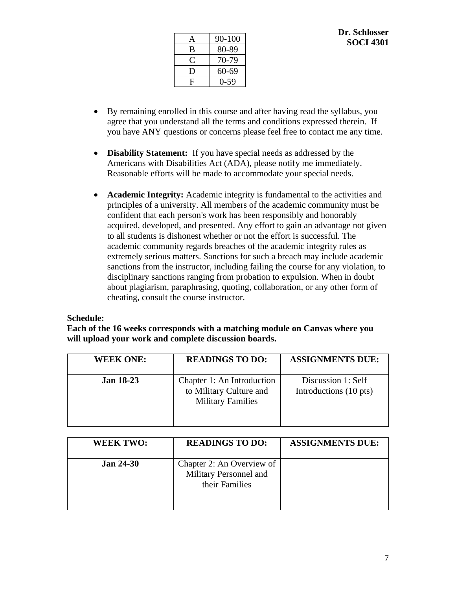| A | 90-100 |
|---|--------|
| B | 80-89  |
| ⊖ | 70-79  |
| D | 60-69  |
| F | 0-59   |

- By remaining enrolled in this course and after having read the syllabus, you agree that you understand all the terms and conditions expressed therein. If you have ANY questions or concerns please feel free to contact me any time.
- **Disability Statement:** If you have special needs as addressed by the Americans with Disabilities Act (ADA), please notify me immediately. Reasonable efforts will be made to accommodate your special needs.
- **Academic Integrity:** Academic integrity is fundamental to the activities and principles of a university. All members of the academic community must be confident that each person's work has been responsibly and honorably acquired, developed, and presented. Any effort to gain an advantage not given to all students is dishonest whether or not the effort is successful. The academic community regards breaches of the academic integrity rules as extremely serious matters. Sanctions for such a breach may include academic sanctions from the instructor, including failing the course for any violation, to disciplinary sanctions ranging from probation to expulsion. When in doubt about plagiarism, paraphrasing, quoting, collaboration, or any other form of cheating, consult the course instructor.

## **Schedule:**

## **Each of the 16 weeks corresponds with a matching module on Canvas where you will upload your work and complete discussion boards.**

| <b>WEEK ONE:</b> | <b>READINGS TO DO:</b>                                                            | <b>ASSIGNMENTS DUE:</b>                      |
|------------------|-----------------------------------------------------------------------------------|----------------------------------------------|
| <b>Jan 18-23</b> | Chapter 1: An Introduction<br>to Military Culture and<br><b>Military Families</b> | Discussion 1: Self<br>Introductions (10 pts) |

| <b>WEEK TWO:</b> | <b>READINGS TO DO:</b>                                                | <b>ASSIGNMENTS DUE:</b> |
|------------------|-----------------------------------------------------------------------|-------------------------|
| <b>Jan 24-30</b> | Chapter 2: An Overview of<br>Military Personnel and<br>their Families |                         |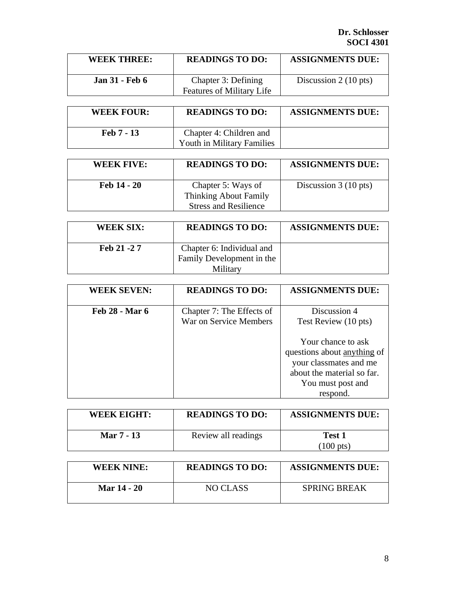| <b>WEEK THREE:</b>    | <b>READINGS TO DO:</b>                                  | <b>ASSIGNMENTS DUE:</b>        |
|-----------------------|---------------------------------------------------------|--------------------------------|
| <b>Jan 31 - Feb 6</b> | Chapter 3: Defining<br><b>Features of Military Life</b> | Discussion $2(10 \text{ pts})$ |

| <b>WEEK FOUR:</b> | <b>READINGS TO DO:</b>                                | <b>ASSIGNMENTS DUE:</b> |
|-------------------|-------------------------------------------------------|-------------------------|
| Feb 7 - 13        | Chapter 4: Children and<br>Youth in Military Families |                         |

| <b>WEEK FIVE:</b> | <b>READINGS TO DO:</b>                                                      | <b>ASSIGNMENTS DUE:</b>        |
|-------------------|-----------------------------------------------------------------------------|--------------------------------|
| Feb 14 - 20       | Chapter 5: Ways of<br>Thinking About Family<br><b>Stress and Resilience</b> | Discussion $3(10 \text{ pts})$ |

| <b>WEEK SIX:</b> | <b>READINGS TO DO:</b>                                 | <b>ASSIGNMENTS DUE:</b> |
|------------------|--------------------------------------------------------|-------------------------|
| Feb 21 - 27      | Chapter 6: Individual and<br>Family Development in the |                         |
|                  | Military                                               |                         |

| <b>WEEK SEVEN:</b>    | <b>READINGS TO DO:</b>                              | <b>ASSIGNMENTS DUE:</b>                                                                                                                    |
|-----------------------|-----------------------------------------------------|--------------------------------------------------------------------------------------------------------------------------------------------|
| <b>Feb 28 - Mar 6</b> | Chapter 7: The Effects of<br>War on Service Members | Discussion 4<br>Test Review (10 pts)                                                                                                       |
|                       |                                                     | Your chance to ask<br>questions about anything of<br>your classmates and me<br>about the material so far.<br>You must post and<br>respond. |

| <b>WEEK EIGHT:</b> | <b>READINGS TO DO:</b> | <b>ASSIGNMENTS DUE:</b>              |
|--------------------|------------------------|--------------------------------------|
| Mar 7 - 13         | Review all readings    | <b>Test 1</b><br>$(100 \text{ pts})$ |

| <b>WEEK NINE:</b>  | <b>READINGS TO DO:</b> | <b>ASSIGNMENTS DUE:</b> |
|--------------------|------------------------|-------------------------|
| <b>Mar 14 - 20</b> | NO CLASS               | <b>SPRING BREAK</b>     |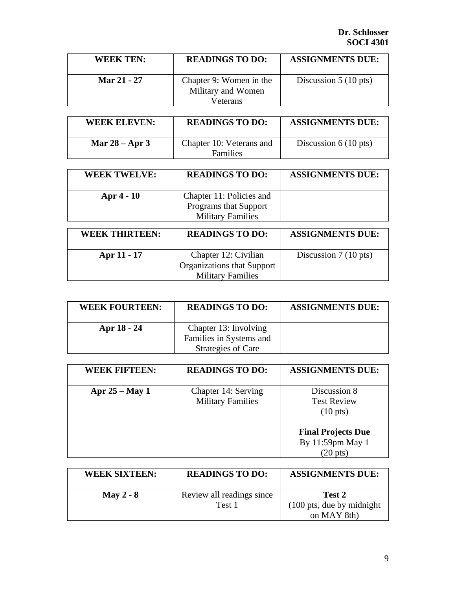| <b>WEEK TEN:</b> | <b>READINGS TO DO:</b>                                    | <b>ASSIGNMENTS DUE:</b>        |
|------------------|-----------------------------------------------------------|--------------------------------|
| Mar 21 - 27      | Chapter 9: Women in the<br>Military and Women<br>Veterans | Discussion $5(10 \text{ pts})$ |

| <b>WEEK ELEVEN:</b> | <b>READINGS TO DO:</b>               | <b>ASSIGNMENTS DUE:</b>        |
|---------------------|--------------------------------------|--------------------------------|
| Mar $28 -$ Apr 3    | Chapter 10: Veterans and<br>Families | Discussion $6(10 \text{ pts})$ |

| <b>WEEK TWELVE:</b>   | <b>READINGS TO DO:</b>                                        | <b>ASSIGNMENTS DUE:</b>        |
|-----------------------|---------------------------------------------------------------|--------------------------------|
| Apr 4 - 10            | Chapter 11: Policies and<br>Programs that Support             |                                |
|                       | <b>Military Families</b>                                      |                                |
| <b>WEEK THIRTEEN:</b> | <b>READINGS TO DO:</b>                                        | <b>ASSIGNMENTS DUE:</b>        |
|                       |                                                               |                                |
|                       |                                                               |                                |
| Apr 11 - 17           | Chapter 12: Civilian                                          | Discussion $7(10 \text{ pts})$ |
|                       | <b>Organizations that Support</b><br><b>Military Families</b> |                                |

| <b>WEEK FOURTEEN:</b> | <b>READINGS TO DO:</b>                           | <b>ASSIGNMENTS DUE:</b> |
|-----------------------|--------------------------------------------------|-------------------------|
| Apr 18 - 24           | Chapter 13: Involving<br>Families in Systems and |                         |
|                       | Strategies of Care                               |                         |

| <b>WEEK FIFTEEN:</b> | <b>READINGS TO DO:</b>                          | <b>ASSIGNMENTS DUE:</b>                                                                                           |
|----------------------|-------------------------------------------------|-------------------------------------------------------------------------------------------------------------------|
| Apr $25 - May 1$     | Chapter 14: Serving<br><b>Military Families</b> | Discussion 8<br><b>Test Review</b><br>$(10 \text{ pts})$<br><b>Final Projects Due</b><br>By 11:59pm May 1<br>pts) |

| <b>WEEK SIXTEEN:</b> | <b>READINGS TO DO:</b>    | <b>ASSIGNMENTS DUE:</b>                     |
|----------------------|---------------------------|---------------------------------------------|
| May 2 - $8$          | Review all readings since | Test 2                                      |
|                      | Test 1                    | $(100 \text{ pts}, \text{due by midnight})$ |
|                      |                           | on MAY 8th)                                 |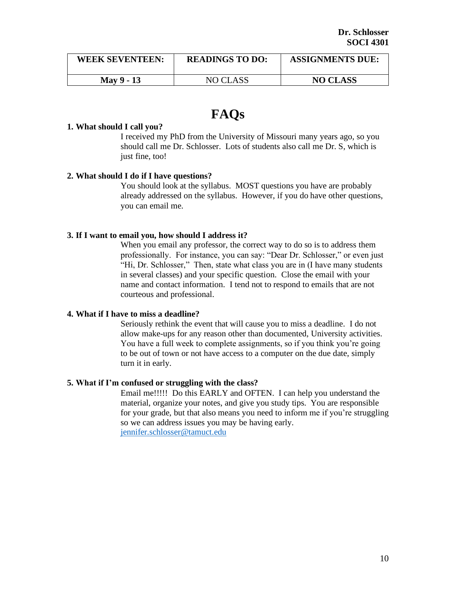| <b>WEEK SEVENTEEN:</b> | <b>READINGS TO DO:</b> | <b>ASSIGNMENTS DUE:</b> |
|------------------------|------------------------|-------------------------|
| <b>May 9 - 13</b>      | NO CLASS               | <b>NO CLASS</b>         |

# **FAQs**

#### **1. What should I call you?**

I received my PhD from the University of Missouri many years ago, so you should call me Dr. Schlosser. Lots of students also call me Dr. S, which is just fine, too!

### **2. What should I do if I have questions?**

You should look at the syllabus. MOST questions you have are probably already addressed on the syllabus. However, if you do have other questions, you can email me.

#### **3. If I want to email you, how should I address it?**

When you email any professor, the correct way to do so is to address them professionally. For instance, you can say: "Dear Dr. Schlosser," or even just "Hi, Dr. Schlosser," Then, state what class you are in (I have many students in several classes) and your specific question. Close the email with your name and contact information. I tend not to respond to emails that are not courteous and professional.

#### **4. What if I have to miss a deadline?**

Seriously rethink the event that will cause you to miss a deadline. I do not allow make-ups for any reason other than documented, University activities. You have a full week to complete assignments, so if you think you're going to be out of town or not have access to a computer on the due date, simply turn it in early.

### **5. What if I'm confused or struggling with the class?**

Email me!!!!! Do this EARLY and OFTEN. I can help you understand the material, organize your notes, and give you study tips. You are responsible for your grade, but that also means you need to inform me if you're struggling so we can address issues you may be having early. [jennifer.schlosser@tamuct.edu](mailto:Jennifer.schlosser@tamuct.edu)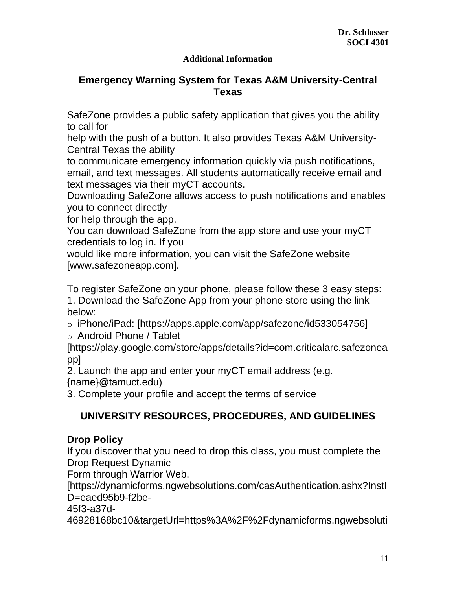## **Additional Information**

## **Emergency Warning System for Texas A&M University-Central Texas**

SafeZone provides a public safety application that gives you the ability to call for

help with the push of a button. It also provides Texas A&M University-Central Texas the ability

to communicate emergency information quickly via push notifications, email, and text messages. All students automatically receive email and text messages via their myCT accounts.

Downloading SafeZone allows access to push notifications and enables you to connect directly

for help through the app.

You can download SafeZone from the app store and use your myCT credentials to log in. If you

would like more information, you can visit the SafeZone website [www.safezoneapp.com].

To register SafeZone on your phone, please follow these 3 easy steps:

1. Download the SafeZone App from your phone store using the link below:

o iPhone/iPad: [https://apps.apple.com/app/safezone/id533054756]

o Android Phone / Tablet

[https://play.google.com/store/apps/details?id=com.criticalarc.safezonea pp]

2. Launch the app and enter your myCT email address (e.g. {name}@tamuct.edu)

3. Complete your profile and accept the terms of service

## **UNIVERSITY RESOURCES, PROCEDURES, AND GUIDELINES**

## **Drop Policy**

If you discover that you need to drop this class, you must complete the Drop Request Dynamic

Form through Warrior Web.

[https://dynamicforms.ngwebsolutions.com/casAuthentication.ashx?InstI D=eaed95b9-f2be-

45f3-a37d-

46928168bc10&targetUrl=https%3A%2F%2Fdynamicforms.ngwebsoluti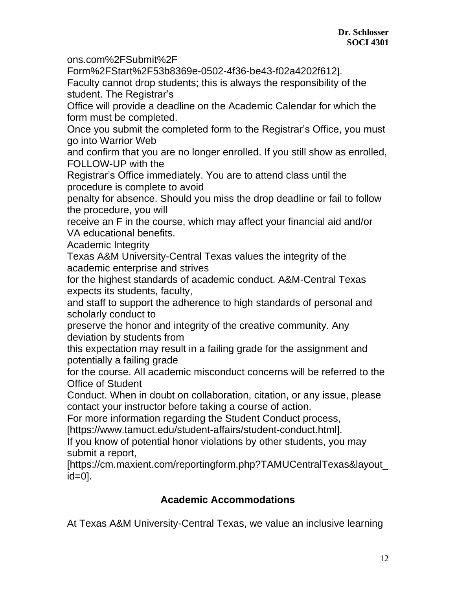ons.com%2FSubmit%2F

Form%2FStart%2F53b8369e-0502-4f36-be43-f02a4202f612]. Faculty cannot drop students; this is always the responsibility of the student. The Registrar's

Office will provide a deadline on the Academic Calendar for which the form must be completed.

Once you submit the completed form to the Registrar's Office, you must go into Warrior Web

and confirm that you are no longer enrolled. If you still show as enrolled, FOLLOW-UP with the

Registrar's Office immediately. You are to attend class until the procedure is complete to avoid

penalty for absence. Should you miss the drop deadline or fail to follow the procedure, you will

receive an F in the course, which may affect your financial aid and/or VA educational benefits.

Academic Integrity

Texas A&M University-Central Texas values the integrity of the academic enterprise and strives

for the highest standards of academic conduct. A&M-Central Texas expects its students, faculty,

and staff to support the adherence to high standards of personal and scholarly conduct to

preserve the honor and integrity of the creative community. Any deviation by students from

this expectation may result in a failing grade for the assignment and potentially a failing grade

for the course. All academic misconduct concerns will be referred to the Office of Student

Conduct. When in doubt on collaboration, citation, or any issue, please contact your instructor before taking a course of action.

For more information regarding the Student Conduct process,

[https://www.tamuct.edu/student-affairs/student-conduct.html].

If you know of potential honor violations by other students, you may submit a report,

[https://cm.maxient.com/reportingform.php?TAMUCentralTexas&layout\_ id=0].

## **Academic Accommodations**

At Texas A&M University-Central Texas, we value an inclusive learning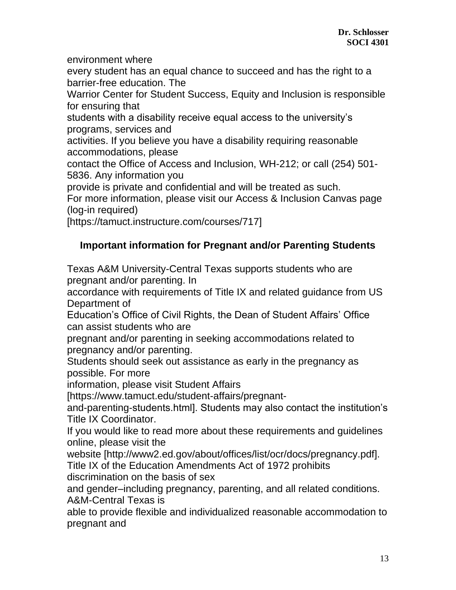environment where

every student has an equal chance to succeed and has the right to a barrier-free education. The

Warrior Center for Student Success, Equity and Inclusion is responsible for ensuring that

students with a disability receive equal access to the university's programs, services and

activities. If you believe you have a disability requiring reasonable accommodations, please

contact the Office of Access and Inclusion, WH-212; or call (254) 501- 5836. Any information you

provide is private and confidential and will be treated as such.

For more information, please visit our Access & Inclusion Canvas page (log-in required)

[https://tamuct.instructure.com/courses/717]

## **Important information for Pregnant and/or Parenting Students**

Texas A&M University-Central Texas supports students who are pregnant and/or parenting. In

accordance with requirements of Title IX and related guidance from US Department of

Education's Office of Civil Rights, the Dean of Student Affairs' Office can assist students who are

pregnant and/or parenting in seeking accommodations related to pregnancy and/or parenting.

Students should seek out assistance as early in the pregnancy as possible. For more

information, please visit Student Affairs

[https://www.tamuct.edu/student-affairs/pregnant-

and-parenting-students.html]. Students may also contact the institution's Title IX Coordinator.

If you would like to read more about these requirements and guidelines online, please visit the

website [http://www2.ed.gov/about/offices/list/ocr/docs/pregnancy.pdf]. Title IX of the Education Amendments Act of 1972 prohibits discrimination on the basis of sex

and gender–including pregnancy, parenting, and all related conditions. A&M-Central Texas is

able to provide flexible and individualized reasonable accommodation to pregnant and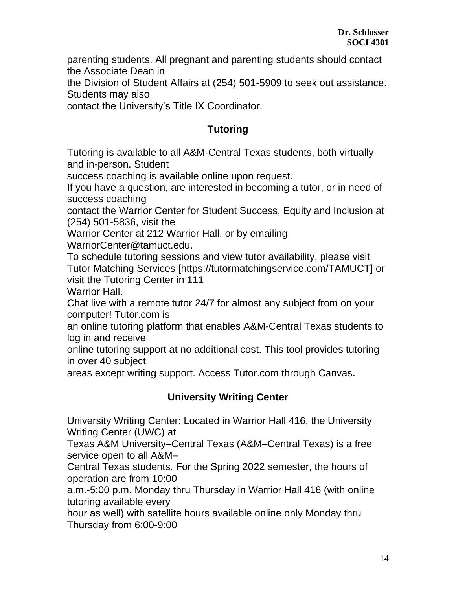parenting students. All pregnant and parenting students should contact the Associate Dean in

the Division of Student Affairs at (254) 501-5909 to seek out assistance. Students may also

contact the University's Title IX Coordinator.

## **Tutoring**

Tutoring is available to all A&M-Central Texas students, both virtually and in-person. Student

success coaching is available online upon request.

If you have a question, are interested in becoming a tutor, or in need of success coaching

contact the Warrior Center for Student Success, Equity and Inclusion at (254) 501-5836, visit the

Warrior Center at 212 Warrior Hall, or by emailing WarriorCenter@tamuct.edu.

To schedule tutoring sessions and view tutor availability, please visit Tutor Matching Services [https://tutormatchingservice.com/TAMUCT] or visit the Tutoring Center in 111

Warrior Hall.

Chat live with a remote tutor 24/7 for almost any subject from on your computer! Tutor.com is

an online tutoring platform that enables A&M-Central Texas students to log in and receive

online tutoring support at no additional cost. This tool provides tutoring in over 40 subject

areas except writing support. Access Tutor.com through Canvas.

## **University Writing Center**

University Writing Center: Located in Warrior Hall 416, the University Writing Center (UWC) at

Texas A&M University–Central Texas (A&M–Central Texas) is a free service open to all A&M–

Central Texas students. For the Spring 2022 semester, the hours of operation are from 10:00

a.m.-5:00 p.m. Monday thru Thursday in Warrior Hall 416 (with online tutoring available every

hour as well) with satellite hours available online only Monday thru Thursday from 6:00-9:00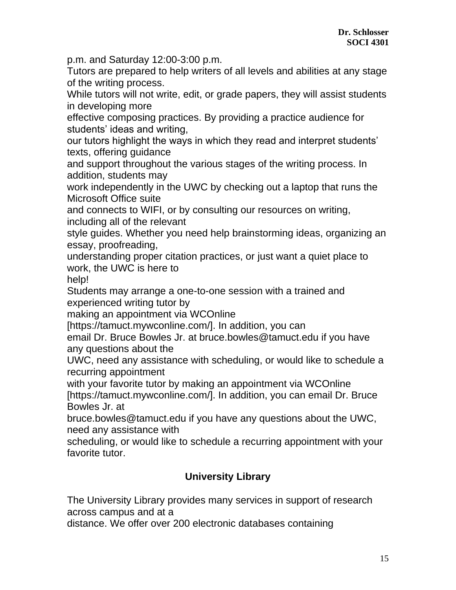p.m. and Saturday 12:00-3:00 p.m.

Tutors are prepared to help writers of all levels and abilities at any stage of the writing process.

While tutors will not write, edit, or grade papers, they will assist students in developing more

effective composing practices. By providing a practice audience for students' ideas and writing,

our tutors highlight the ways in which they read and interpret students' texts, offering guidance

and support throughout the various stages of the writing process. In addition, students may

work independently in the UWC by checking out a laptop that runs the Microsoft Office suite

and connects to WIFI, or by consulting our resources on writing, including all of the relevant

style guides. Whether you need help brainstorming ideas, organizing an essay, proofreading,

understanding proper citation practices, or just want a quiet place to work, the UWC is here to

help!

Students may arrange a one-to-one session with a trained and experienced writing tutor by

making an appointment via WCOnline

[https://tamuct.mywconline.com/]. In addition, you can

email Dr. Bruce Bowles Jr. at bruce.bowles@tamuct.edu if you have any questions about the

UWC, need any assistance with scheduling, or would like to schedule a recurring appointment

with your favorite tutor by making an appointment via WCOnline

[https://tamuct.mywconline.com/]. In addition, you can email Dr. Bruce Bowles Jr. at

bruce.bowles@tamuct.edu if you have any questions about the UWC, need any assistance with

scheduling, or would like to schedule a recurring appointment with your favorite tutor.

## **University Library**

The University Library provides many services in support of research across campus and at a

distance. We offer over 200 electronic databases containing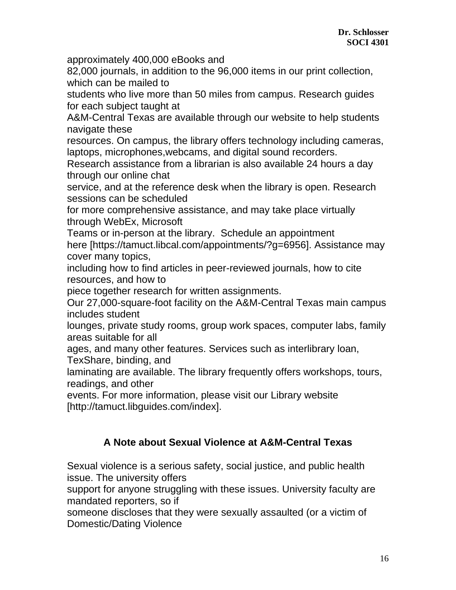approximately 400,000 eBooks and

82,000 journals, in addition to the 96,000 items in our print collection, which can be mailed to

students who live more than 50 miles from campus. Research guides for each subject taught at

A&M-Central Texas are available through our website to help students navigate these

resources. On campus, the library offers technology including cameras, laptops, microphones,webcams, and digital sound recorders.

Research assistance from a librarian is also available 24 hours a day through our online chat

service, and at the reference desk when the library is open. Research sessions can be scheduled

for more comprehensive assistance, and may take place virtually through WebEx, Microsoft

Teams or in-person at the library. Schedule an appointment here [https://tamuct.libcal.com/appointments/?g=6956]. Assistance may cover many topics,

including how to find articles in peer-reviewed journals, how to cite resources, and how to

piece together research for written assignments.

Our 27,000-square-foot facility on the A&M-Central Texas main campus includes student

lounges, private study rooms, group work spaces, computer labs, family areas suitable for all

ages, and many other features. Services such as interlibrary loan,

TexShare, binding, and

laminating are available. The library frequently offers workshops, tours, readings, and other

events. For more information, please visit our Library website [http://tamuct.libguides.com/index].

## **A Note about Sexual Violence at A&M-Central Texas**

Sexual violence is a serious safety, social justice, and public health issue. The university offers

support for anyone struggling with these issues. University faculty are mandated reporters, so if

someone discloses that they were sexually assaulted (or a victim of Domestic/Dating Violence